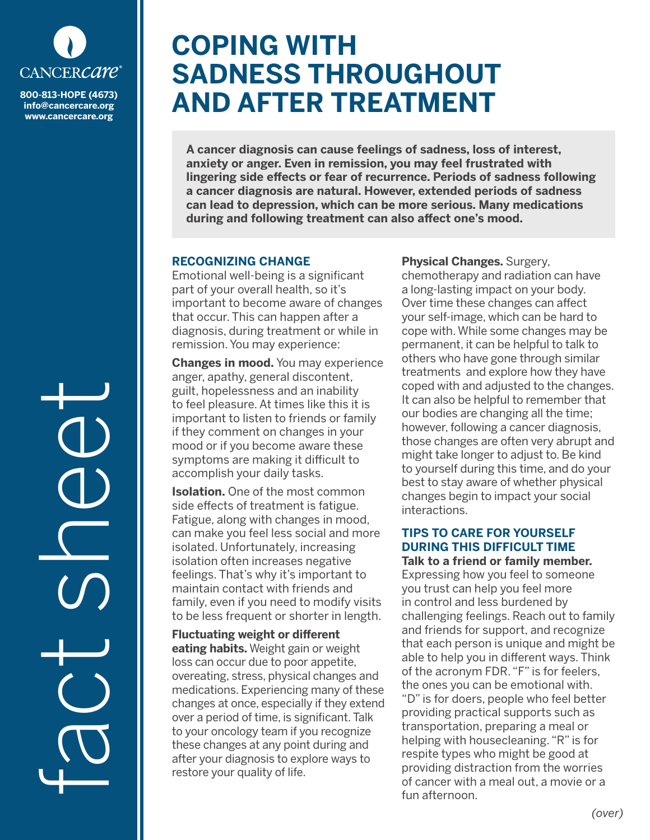

**info@cancercare.org www.cancercare.org**

## **COPING WITH SADNESS THROUGHOUT AND AFTER TREATMENT EXPLOSED AND AFTER TREATMENT**

**A cancer diagnosis can cause feelings of sadness, loss of interest, anxiety or anger. Even in remission, you may feel frustrated with lingering side effects or fear of recurrence. Periods of sadness following a cancer diagnosis are natural. However, extended periods of sadness can lead to depression, which can be more serious. Many medications during and following treatment can also affect one's mood.**

## **RECOGNIZING CHANGE**

Emotional well-being is a significant part of your overall health, so it's important to become aware of changes that occur. This can happen after a diagnosis, during treatment or while in remission. You may experience:

**Changes in mood.** You may experience anger, apathy, general discontent, guilt, hopelessness and an inability to feel pleasure. At times like this it is important to listen to friends or family if they comment on changes in your mood or if you become aware these symptoms are making it difficult to accomplish your daily tasks.

**Isolation.** One of the most common side effects of treatment is fatigue. Fatigue, along with changes in mood, can make you feel less social and more isolated. Unfortunately, increasing isolation often increases negative feelings. That's why it's important to maintain contact with friends and family, even if you need to modify visits to be less frequent or shorter in length.

**Fluctuating weight or different eating habits.** Weight gain or weight loss can occur due to poor appetite, overeating, stress, physical changes and medications. Experiencing many of these changes at once, especially if they extend over a period of time, is significant. Talk to your oncology team if you recognize these changes at any point during and after your diagnosis to explore ways to restore your quality of life.

**Physical Changes.** Surgery,

chemotherapy and radiation can have a long-lasting impact on your body. Over time these changes can affect your self-image, which can be hard to cope with. While some changes may be permanent, it can be helpful to talk to others who have gone through similar treatments and explore how they have coped with and adjusted to the changes. It can also be helpful to remember that our bodies are changing all the time; however, following a cancer diagnosis, those changes are often very abrupt and might take longer to adjust to. Be kind to yourself during this time, and do your best to stay aware of whether physical changes begin to impact your social interactions.

## **TIPS TO CARE FOR YOURSELF DURING THIS DIFFICULT TIME**

**Talk to a friend or family member.**  Expressing how you feel to someone you trust can help you feel more in control and less burdened by challenging feelings. Reach out to family and friends for support, and recognize that each person is unique and might be able to help you in different ways. Think of the acronym FDR. "F" is for feelers, the ones you can be emotional with.

"D" is for doers, people who feel better providing practical supports such as transportation, preparing a meal or helping with housecleaning. "R" is for respite types who might be good at providing distraction from the worries of cancer with a meal out, a movie or a fun afternoon.

fact see